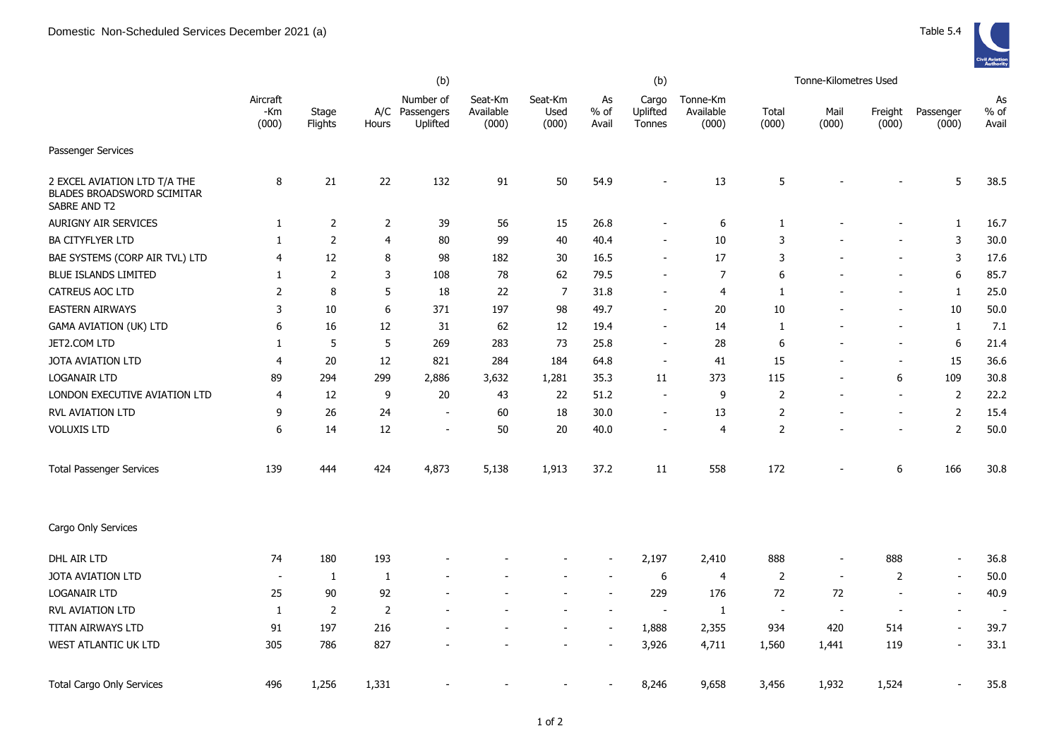|                                                                            |                          |                  |                | (b)                                     |                               |                          |                          | (b)                         |                                |                | Tonne-Kilometres Used    |                          |                          |                       |
|----------------------------------------------------------------------------|--------------------------|------------------|----------------|-----------------------------------------|-------------------------------|--------------------------|--------------------------|-----------------------------|--------------------------------|----------------|--------------------------|--------------------------|--------------------------|-----------------------|
|                                                                            | Aircraft<br>-Km<br>(000) | Stage<br>Flights | Hours          | Number of<br>A/C Passengers<br>Uplifted | Seat-Km<br>Available<br>(000) | Seat-Km<br>Used<br>(000) | As<br>$%$ of<br>Avail    | Cargo<br>Uplifted<br>Tonnes | Tonne-Km<br>Available<br>(000) | Total<br>(000) | Mail<br>(000)            | Freight<br>(000)         | Passenger<br>(000)       | As<br>$%$ of<br>Avail |
| Passenger Services                                                         |                          |                  |                |                                         |                               |                          |                          |                             |                                |                |                          |                          |                          |                       |
| 2 EXCEL AVIATION LTD T/A THE<br>BLADES BROADSWORD SCIMITAR<br>SABRE AND T2 | 8                        | 21               | 22             | 132                                     | 91                            | 50                       | 54.9                     | $\overline{\phantom{a}}$    | 13                             | 5              |                          |                          | 5                        | 38.5                  |
| AURIGNY AIR SERVICES                                                       | $\mathbf{1}$             | $\overline{2}$   | $\overline{2}$ | 39                                      | 56                            | 15                       | 26.8                     | $\blacksquare$              | 6                              | $\mathbf{1}$   |                          |                          | $\mathbf{1}$             | 16.7                  |
| <b>BA CITYFLYER LTD</b>                                                    | $\mathbf{1}$             | $\overline{2}$   | 4              | 80                                      | 99                            | 40                       | 40.4                     | $\overline{\phantom{a}}$    | 10                             | 3              |                          | $\qquad \qquad -$        | $\mathbf{3}$             | 30.0                  |
| BAE SYSTEMS (CORP AIR TVL) LTD                                             | $\overline{4}$           | 12               | 8              | 98                                      | 182                           | 30                       | 16.5                     | $\overline{\phantom{a}}$    | 17                             | 3              |                          | $\overline{a}$           | 3                        | 17.6                  |
| <b>BLUE ISLANDS LIMITED</b>                                                | 1                        | $\overline{2}$   | 3              | 108                                     | 78                            | 62                       | 79.5                     |                             | $\overline{7}$                 | 6              |                          |                          | 6                        | 85.7                  |
| CATREUS AOC LTD                                                            | $\overline{2}$           | 8                | 5              | 18                                      | 22                            | $\overline{7}$           | 31.8                     | $\overline{\phantom{a}}$    | 4                              | $\mathbf{1}$   |                          | -                        | $\mathbf{1}$             | 25.0                  |
| <b>EASTERN AIRWAYS</b>                                                     | 3                        | 10               | 6              | 371                                     | 197                           | 98                       | 49.7                     | $\overline{\phantom{a}}$    | 20                             | 10             |                          | $\overline{\phantom{a}}$ | 10                       | 50.0                  |
| GAMA AVIATION (UK) LTD                                                     | 6                        | 16               | 12             | 31                                      | 62                            | 12                       | 19.4                     | $\blacksquare$              | 14                             | $\mathbf{1}$   |                          | ÷,                       | $\mathbf{1}$             | 7.1                   |
| JET2.COM LTD                                                               | $\mathbf{1}$             | 5                | 5              | 269                                     | 283                           | 73                       | 25.8                     | $\sim$                      | 28                             | 6              |                          | ÷,                       | 6                        | 21.4                  |
| JOTA AVIATION LTD                                                          | $\overline{4}$           | 20               | 12             | 821                                     | 284                           | 184                      | 64.8                     | $\sim$                      | 41                             | 15             | ٠                        | $\blacksquare$           | 15                       | 36.6                  |
| <b>LOGANAIR LTD</b>                                                        | 89                       | 294              | 299            | 2,886                                   | 3,632                         | 1,281                    | 35.3                     | 11                          | 373                            | 115            | ÷,                       | 6                        | 109                      | 30.8                  |
| LONDON EXECUTIVE AVIATION LTD                                              | 4                        | 12               | 9              | 20                                      | 43                            | 22                       | 51.2                     |                             | 9                              | $\overline{2}$ |                          | ÷,                       | $\overline{2}$           | 22.2                  |
| <b>RVL AVIATION LTD</b>                                                    | 9                        | 26               | 24             | $\overline{\phantom{a}}$                | 60                            | 18                       | 30.0                     |                             | 13                             | $\overline{2}$ |                          | $\sim$                   | $\overline{2}$           | 15.4                  |
| <b>VOLUXIS LTD</b>                                                         | 6                        | 14               | 12             | $\overline{\phantom{a}}$                | 50                            | 20                       | 40.0                     | $\overline{\phantom{a}}$    | $\overline{4}$                 | $\overline{2}$ |                          | $\overline{\phantom{0}}$ | $\overline{2}$           | 50.0                  |
| <b>Total Passenger Services</b>                                            | 139                      | 444              | 424            | 4,873                                   | 5,138                         | 1,913                    | 37.2                     | 11                          | 558                            | 172            |                          | 6                        | 166                      | 30.8                  |
| Cargo Only Services                                                        |                          |                  |                |                                         |                               |                          |                          |                             |                                |                |                          |                          |                          |                       |
| DHL AIR LTD                                                                | 74                       | 180              | 193            |                                         |                               |                          | $\overline{\phantom{a}}$ | 2,197                       | 2,410                          | 888            | $\overline{\phantom{a}}$ | 888                      | $\overline{\phantom{a}}$ | 36.8                  |
| JOTA AVIATION LTD                                                          | $\overline{\phantom{a}}$ | 1                | 1              |                                         |                               |                          |                          | $\boldsymbol{6}$            | 4                              | 2              | $\sim$                   | 2                        | $\overline{\phantom{a}}$ | 50.0                  |
| LOGANAIR LTD                                                               | 25                       | 90               | 92             |                                         |                               |                          |                          | 229                         | 176                            | 72             | 72                       | $\overline{\phantom{a}}$ | $\overline{\phantom{a}}$ | 40.9                  |
| RVL AVIATION LTD                                                           | 1                        | $\overline{2}$   | $\overline{2}$ |                                         |                               |                          | $\overline{\phantom{a}}$ | $\overline{\phantom{a}}$    | 1                              | $\blacksquare$ | $\overline{\phantom{a}}$ | ÷.                       | $\blacksquare$           |                       |
| TITAN AIRWAYS LTD                                                          | 91                       | 197              | 216            |                                         |                               |                          | $\overline{\phantom{a}}$ | 1,888                       | 2,355                          | 934            | 420                      | 514                      | $\overline{\phantom{a}}$ | 39.7                  |
| WEST ATLANTIC UK LTD                                                       | 305                      | 786              | 827            |                                         |                               |                          |                          | 3,926                       | 4,711                          | 1,560          | 1,441                    | 119                      | $\blacksquare$           | 33.1                  |
| <b>Total Cargo Only Services</b>                                           | 496                      | 1,256            | 1,331          |                                         |                               |                          |                          | 8,246                       | 9,658                          | 3,456          | 1,932                    | 1,524                    | $\sim$                   | 35.8                  |